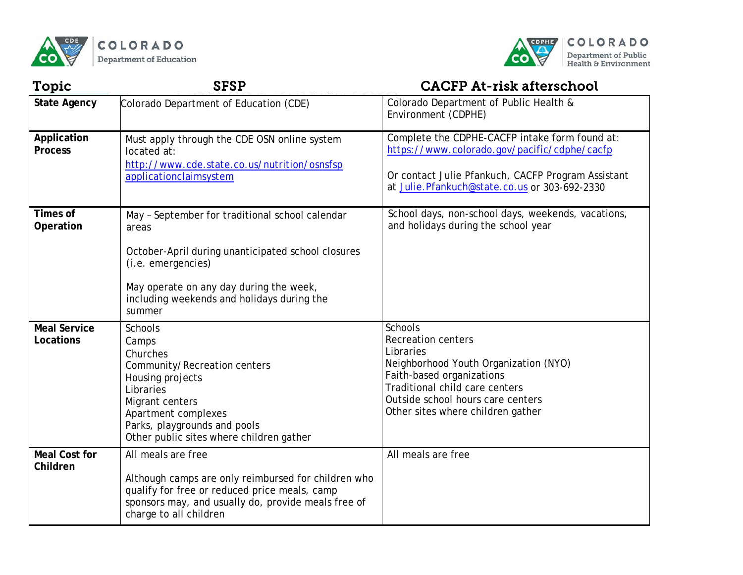



| Topic                            | <b>SFSP</b>                                                                                                                                                                                                                             | <b>CACFP At-risk afterschool</b>                                                                                                                                                                                                           |
|----------------------------------|-----------------------------------------------------------------------------------------------------------------------------------------------------------------------------------------------------------------------------------------|--------------------------------------------------------------------------------------------------------------------------------------------------------------------------------------------------------------------------------------------|
| <b>State Agency</b>              | Colorado Department of Education (CDE)                                                                                                                                                                                                  | Colorado Department of Public Health &<br>Environment (CDPHE)                                                                                                                                                                              |
| Application<br><b>Process</b>    | Must apply through the CDE OSN online system<br>located at:<br>http://www.cde.state.co.us/nutrition/osnsfsp<br>applicationclaimsystem                                                                                                   | Complete the CDPHE-CACFP intake form found at:<br>https://www.colorado.gov/pacific/cdphe/cacfp<br>Or contact Julie Pfankuch, CACFP Program Assistant<br>at Julie. Pfankuch@state.co.us or 303-692-2330                                     |
| Times of<br>Operation            | May - September for traditional school calendar<br>areas<br>October-April during unanticipated school closures<br>(i.e. emergencies)<br>May operate on any day during the week,<br>including weekends and holidays during the<br>summer | School days, non-school days, weekends, vacations,<br>and holidays during the school year                                                                                                                                                  |
| <b>Meal Service</b><br>Locations | <b>Schools</b><br>Camps<br>Churches<br>Community/Recreation centers<br>Housing projects<br>Libraries<br>Migrant centers<br>Apartment complexes<br>Parks, playgrounds and pools<br>Other public sites where children gather              | <b>Schools</b><br><b>Recreation centers</b><br>Libraries<br>Neighborhood Youth Organization (NYO)<br>Faith-based organizations<br>Traditional child care centers<br>Outside school hours care centers<br>Other sites where children gather |
| <b>Meal Cost for</b><br>Children | All meals are free<br>Although camps are only reimbursed for children who<br>qualify for free or reduced price meals, camp<br>sponsors may, and usually do, provide meals free of<br>charge to all children                             | All meals are free                                                                                                                                                                                                                         |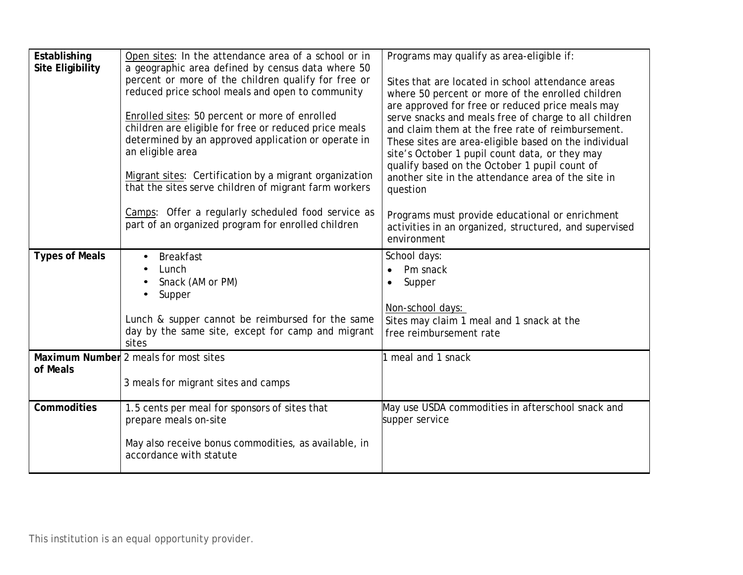| Establishing            | Open sites: In the attendance area of a school or in                                                                                                                                                                                                                                                                                                                                                                                                                  | Programs may qualify as area-eligible if:                                                                                                                                                                                                                                                                                                                                                                                                                                                              |
|-------------------------|-----------------------------------------------------------------------------------------------------------------------------------------------------------------------------------------------------------------------------------------------------------------------------------------------------------------------------------------------------------------------------------------------------------------------------------------------------------------------|--------------------------------------------------------------------------------------------------------------------------------------------------------------------------------------------------------------------------------------------------------------------------------------------------------------------------------------------------------------------------------------------------------------------------------------------------------------------------------------------------------|
| <b>Site Eligibility</b> | a geographic area defined by census data where 50<br>percent or more of the children qualify for free or<br>reduced price school meals and open to community<br>Enrolled sites: 50 percent or more of enrolled<br>children are eligible for free or reduced price meals<br>determined by an approved application or operate in<br>an eligible area<br>Migrant sites: Certification by a migrant organization<br>that the sites serve children of migrant farm workers | Sites that are located in school attendance areas<br>where 50 percent or more of the enrolled children<br>are approved for free or reduced price meals may<br>serve snacks and meals free of charge to all children<br>and claim them at the free rate of reimbursement.<br>These sites are area-eligible based on the individual<br>site's October 1 pupil count data, or they may<br>qualify based on the October 1 pupil count of<br>another site in the attendance area of the site in<br>question |
|                         | Camps: Offer a regularly scheduled food service as<br>part of an organized program for enrolled children                                                                                                                                                                                                                                                                                                                                                              | Programs must provide educational or enrichment<br>activities in an organized, structured, and supervised<br>environment                                                                                                                                                                                                                                                                                                                                                                               |
| <b>Types of Meals</b>   | <b>Breakfast</b><br>Lunch<br>Snack (AM or PM)<br>Supper<br>Lunch & supper cannot be reimbursed for the same<br>day by the same site, except for camp and migrant<br>sites                                                                                                                                                                                                                                                                                             | School days:<br>Pm snack<br>$\bullet$<br>Supper<br>$\bullet$<br>Non-school days:<br>Sites may claim 1 meal and 1 snack at the<br>free reimbursement rate                                                                                                                                                                                                                                                                                                                                               |
| of Meals                | Maximum Number 2 meals for most sites<br>3 meals for migrant sites and camps                                                                                                                                                                                                                                                                                                                                                                                          | meal and 1 snack                                                                                                                                                                                                                                                                                                                                                                                                                                                                                       |
| Commodities             | 1.5 cents per meal for sponsors of sites that<br>prepare meals on-site<br>May also receive bonus commodities, as available, in<br>accordance with statute                                                                                                                                                                                                                                                                                                             | May use USDA commodities in afterschool snack and<br>supper service                                                                                                                                                                                                                                                                                                                                                                                                                                    |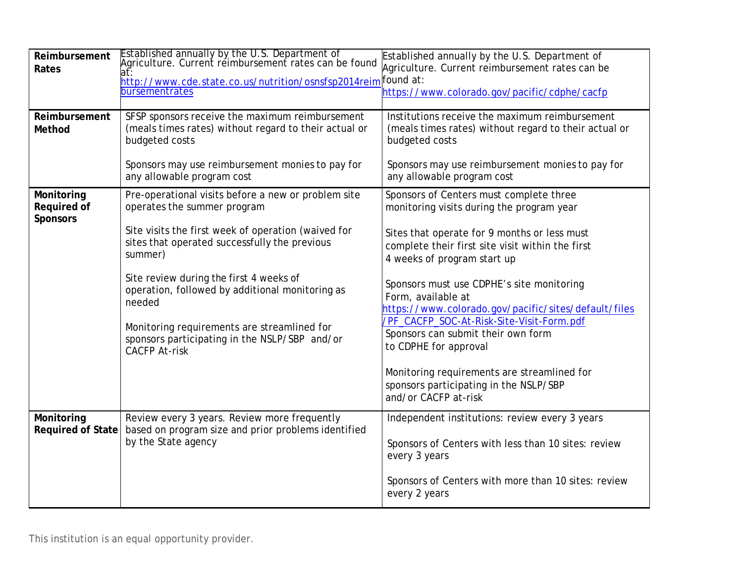| Reimbursement<br>Rates                       | Established annually by the U.S. Department of<br>Agriculture. Current reimbursement rates can be found<br>at:<br><u> http://www.cde.state.co.us/nutrition/osnsfsp2014re</u> im found at:<br>bursementrates | Established annually by the U.S. Department of<br>Agriculture. Current reimbursement rates can be<br>https://www.colorado.gov/pacific/cdphe/cacfp |
|----------------------------------------------|-------------------------------------------------------------------------------------------------------------------------------------------------------------------------------------------------------------|---------------------------------------------------------------------------------------------------------------------------------------------------|
| Reimbursement<br>Method                      | SFSP sponsors receive the maximum reimbursement<br>(meals times rates) without regard to their actual or<br>budgeted costs                                                                                  | Institutions receive the maximum reimbursement<br>(meals times rates) without regard to their actual or<br>budgeted costs                         |
|                                              | Sponsors may use reimbursement monies to pay for<br>any allowable program cost                                                                                                                              | Sponsors may use reimbursement monies to pay for<br>any allowable program cost                                                                    |
| Monitoring<br>Required of<br><b>Sponsors</b> | Pre-operational visits before a new or problem site<br>operates the summer program                                                                                                                          | Sponsors of Centers must complete three<br>monitoring visits during the program year                                                              |
|                                              | Site visits the first week of operation (waived for<br>sites that operated successfully the previous<br>summer)                                                                                             | Sites that operate for 9 months or less must<br>complete their first site visit within the first<br>4 weeks of program start up                   |
|                                              | Site review during the first 4 weeks of<br>operation, followed by additional monitoring as<br>needed                                                                                                        | Sponsors must use CDPHE's site monitoring<br>Form, available at<br>https://www.colorado.gov/pacific/sites/default/files                           |
|                                              | Monitoring requirements are streamlined for<br>sponsors participating in the NSLP/SBP and/or<br><b>CACFP At-risk</b>                                                                                        | /PF_CACFP_SOC-At-Risk-Site-Visit-Form.pdf<br>Sponsors can submit their own form<br>to CDPHE for approval                                          |
|                                              |                                                                                                                                                                                                             | Monitoring requirements are streamlined for<br>sponsors participating in the NSLP/SBP<br>and/or CACFP at-risk                                     |
| Monitoring<br><b>Required of State</b>       | Review every 3 years. Review more frequently<br>based on program size and prior problems identified<br>by the State agency                                                                                  | Independent institutions: review every 3 years                                                                                                    |
|                                              |                                                                                                                                                                                                             | Sponsors of Centers with less than 10 sites: review<br>every 3 years                                                                              |
|                                              |                                                                                                                                                                                                             | Sponsors of Centers with more than 10 sites: review<br>every 2 years                                                                              |

This institution is an equal opportunity provider.